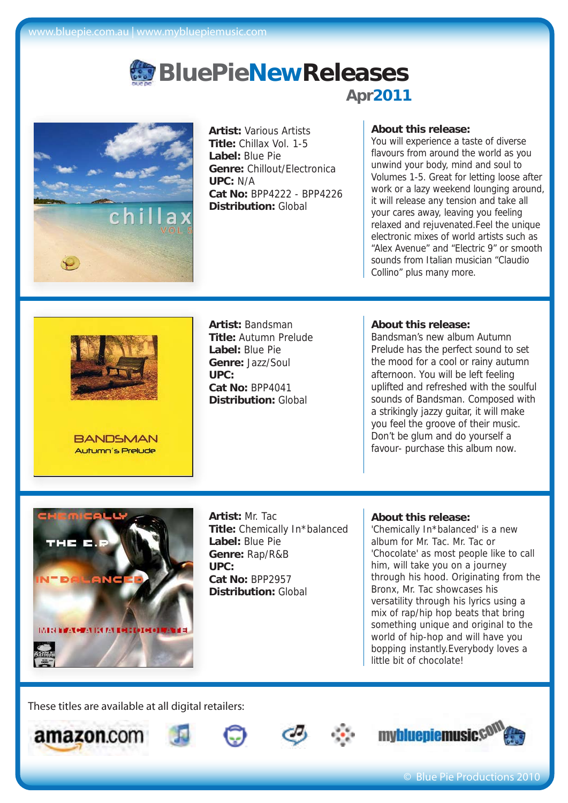

**Artist:** Various Artists **Title:** Chillax Vol. 1-5 **Label:** Blue Pie **Genre:** Chillout/Electronica **UPC:** N/A **Cat No:** BPP4222 - BPP4226 **Distribution:** Global

### **About this release:**

You will experience a taste of diverse flavours from around the world as you unwind your body, mind and soul to Volumes 1-5. Great for letting loose after work or a lazy weekend lounging around, it will release any tension and take all your cares away, leaving you feeling relaxed and rejuvenated.Feel the unique electronic mixes of world artists such as "Alex Avenue" and "Electric 9" or smooth sounds from Italian musician "Claudio Collino" plus many more.



**BANDSMAN** Autumn's Prelude

**Artist:** Bandsman **Title:** Autumn Prelude **Label:** Blue Pie **Genre:** Jazz/Soul **UPC: Cat No:** BPP4041 **Distribution:** Global

#### **About this release:**

Bandsman's new album Autumn Prelude has the perfect sound to set the mood for a cool or rainy autumn afternoon. You will be left feeling uplifted and refreshed with the soulful sounds of Bandsman. Composed with a strikingly jazzy guitar, it will make you feel the groove of their music. Don't be glum and do yourself a favour- purchase this album now.



**Artist:** Mr. Tac **Title:** Chemically In\*balanced **Label:** Blue Pie **Genre:** Rap/R&B **UPC: Cat No:** BPP2957 **Distribution:** Global

#### **About this release:**

'Chemically In\*balanced' is a new album for Mr. Tac. Mr. Tac or 'Chocolate' as most people like to call him, will take you on a journey through his hood. Originating from the Bronx, Mr. Tac showcases his versatility through his lyrics using a mix of rap/hip hop beats that bring something unique and original to the world of hip-hop and will have you bopping instantly.Everybody loves a little bit of chocolate!









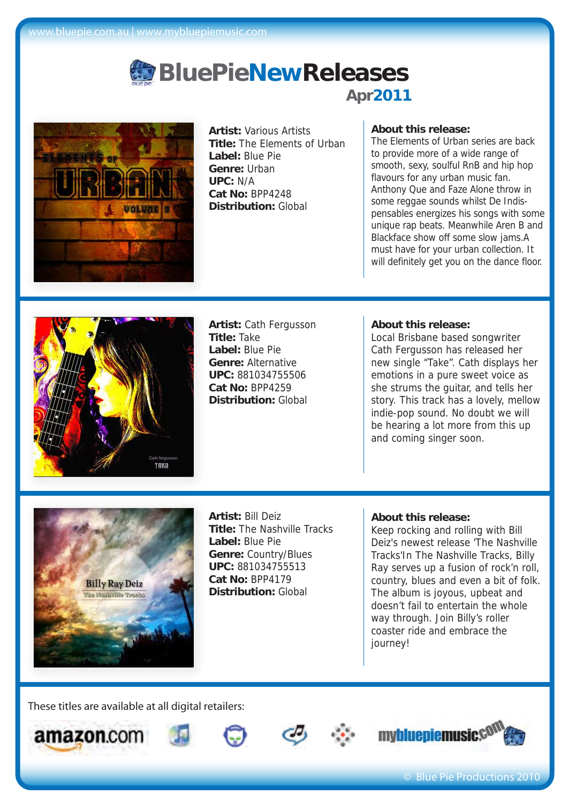

**Artist:** Various Artists **Title:** The Elements of Urban **Label:** Blue Pie **Genre:** Urban **UPC:** N/A **Cat No:** BPP4248 **Distribution:** Global

## **About this release:**

The Elements of Urban series are back to provide more of a wide range of smooth, sexy, soulful RnB and hip hop flavours for any urban music fan. Anthony Que and Faze Alone throw in some reggae sounds whilst De Indispensables energizes his songs with some unique rap beats. Meanwhile Aren B and Blackface show off some slow jams.A must have for your urban collection. It will definitely get you on the dance floor.



**Artist:** Cath Fergusson **Title:** Take **Label:** Blue Pie **Genre:** Alternative **UPC:** 881034755506 **Cat No:** BPP4259 **Distribution:** Global

### **About this release:**

Local Brisbane based songwriter Cath Fergusson has released her new single "Take". Cath displays her emotions in a pure sweet voice as she strums the guitar, and tells her story. This track has a lovely, mellow indie-pop sound. No doubt we will be hearing a lot more from this up and coming singer soon.



**Artist:** Bill Deiz **Title:** The Nashville Tracks **Label:** Blue Pie **Genre:** Country/Blues **UPC:** 881034755513 **Cat No:** BPP4179 **Distribution:** Global

#### **About this release:**

Keep rocking and rolling with Bill Deiz's newest release 'The Nashville Tracks'In The Nashville Tracks, Billy Ray serves up a fusion of rock'n roll, country, blues and even a bit of folk. The album is joyous, upbeat and doesn't fail to entertain the whole way through. Join Billy's roller coaster ride and embrace the journey!









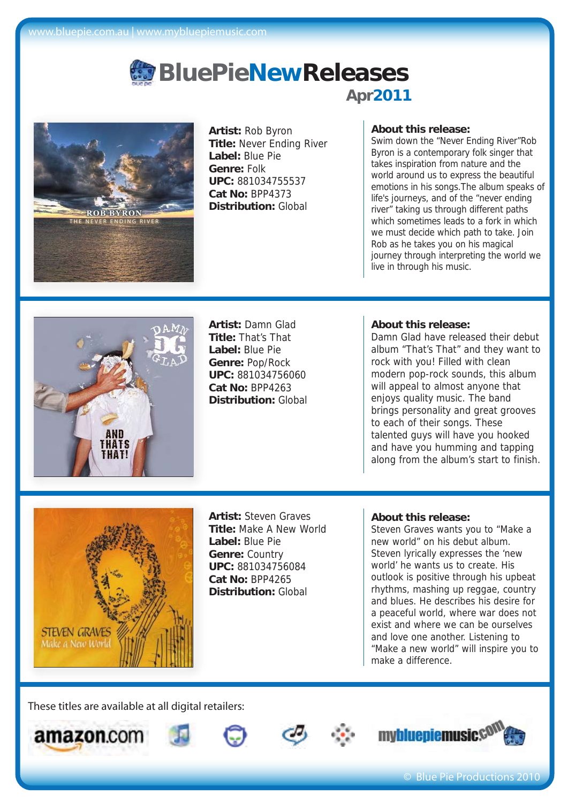

**Artist:** Rob Byron **Title:** Never Ending River **Label:** Blue Pie **Genre:** Folk **UPC:** 881034755537 **Cat No:** BPP4373 **Distribution:** Global

## **About this release:**

Swim down the "Never Ending River"Rob Byron is a contemporary folk singer that takes inspiration from nature and the world around us to express the beautiful emotions in his songs.The album speaks of life's journeys, and of the "never ending river" taking us through different paths which sometimes leads to a fork in which we must decide which path to take. Join Rob as he takes you on his magical journey through interpreting the world we live in through his music.



**Artist:** Damn Glad **Title:** That's That **Label:** Blue Pie **Genre:** Pop/Rock **UPC:** 881034756060 **Cat No:** BPP4263 **Distribution:** Global

### **About this release:**

Damn Glad have released their debut album "That's That" and they want to rock with you! Filled with clean modern pop-rock sounds, this album will appeal to almost anyone that enjoys quality music. The band brings personality and great grooves to each of their songs. These talented guys will have you hooked and have you humming and tapping along from the album's start to finish.



**Artist:** Steven Graves **Title:** Make A New World **Label:** Blue Pie **Genre:** Country **UPC:** 881034756084 **Cat No:** BPP4265 **Distribution:** Global

#### **About this release:**

Steven Graves wants you to "Make a new world" on his debut album. Steven lyrically expresses the 'new world' he wants us to create. His outlook is positive through his upbeat rhythms, mashing up reggae, country and blues. He describes his desire for a peaceful world, where war does not exist and where we can be ourselves and love one another. Listening to "Make a new world" will inspire you to make a difference.









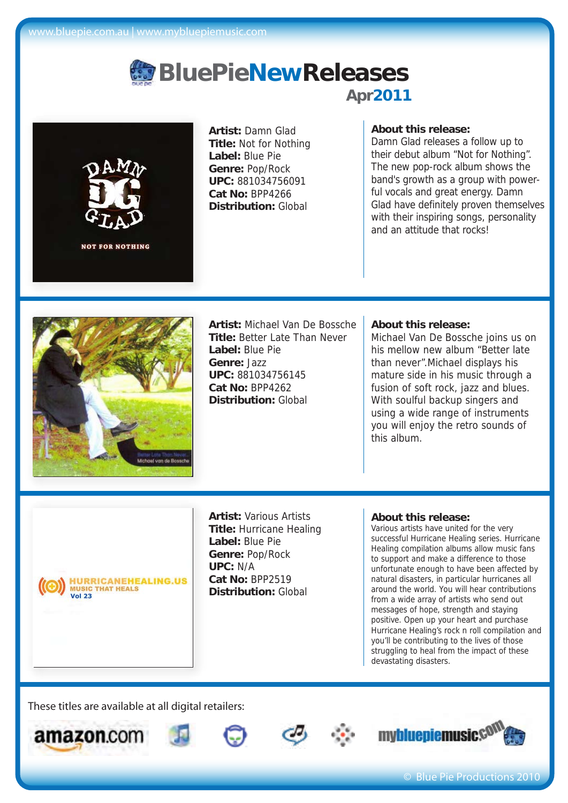

**Artist:** Damn Glad **Title:** Not for Nothing **Label:** Blue Pie **Genre:** Pop/Rock **UPC:** 881034756091 **Cat No:** BPP4266 **Distribution:** Global

## **About this release:**

Damn Glad releases a follow up to their debut album "Not for Nothing". The new pop-rock album shows the band's growth as a group with powerful vocals and great energy. Damn Glad have definitely proven themselves with their inspiring songs, personality and an attitude that rocks!



**Artist:** Michael Van De Bossche **Title:** Better Late Than Never **Label:** Blue Pie **Genre:** Jazz **UPC:** 881034756145 **Cat No:** BPP4262 **Distribution:** Global

#### **About this release:**

Michael Van De Bossche joins us on his mellow new album "Better late than never".Michael displays his mature side in his music through a fusion of soft rock, jazz and blues. With soulful backup singers and using a wide range of instruments you will enjoy the retro sounds of this album.

**HURRICANEHEALING.US MUSIC THAT HEALS**<br>Vol 23

**Artist:** Various Artists **Title:** Hurricane Healing **Label:** Blue Pie **Genre:** Pop/Rock **UPC:** N/A **Cat No:** BPP2519 **Distribution:** Global

#### **About this release:**

Various artists have united for the very successful Hurricane Healing series. Hurricane Healing compilation albums allow music fans to support and make a difference to those unfortunate enough to have been affected by natural disasters, in particular hurricanes all around the world. You will hear contributions from a wide array of artists who send out messages of hope, strength and staying positive. Open up your heart and purchase Hurricane Healing's rock n roll compilation and you'll be contributing to the lives of those struggling to heal from the impact of these devastating disasters.